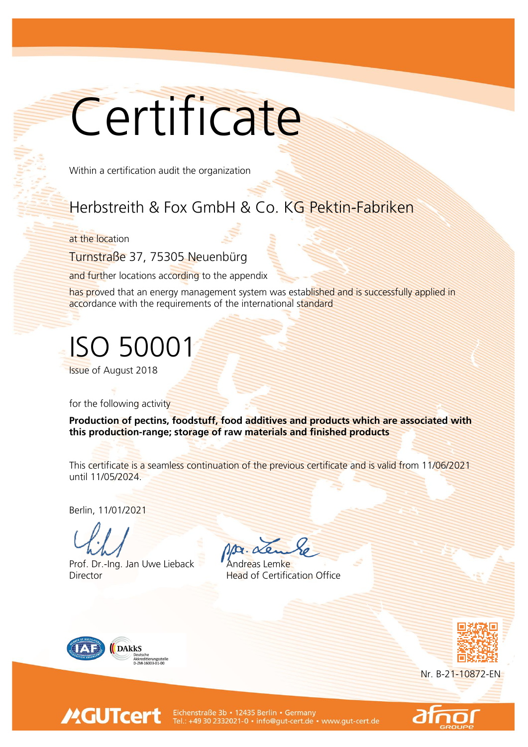## **Certificate**

Within a certification audit the organization

## Herbstreith & Fox GmbH & Co. KG Pektin-Fabriken

at the location

Turnstraße 37, 75305 Neuenbürg

and further locations according to the appendix

has proved that an energy management system was established and is successfully applied in accordance with the requirements of the international standard

ISO 50001

Issue of August 2018

for the following activity

Production of pectins, foodstuff, food additives and products which are associated with this production-range; storage of raw materials and finished products

This certificate is a seamless continuation of the previous certificate and is valid from 11/06/2021 until 11/05/2024.

Berlin, 11/01/2021

Prof. Dr.-Ing. Jan Uwe Lieback Andreas Lemke Director Head of Certification Office



**MGUTcert** 



Nr. B-21-10872-EN



Eichenstraße 3b • 12435 Berlin • Germany<br>Tel.: +49 30 2332021-0 • info@gut-cert.de • www.gut-cert.de